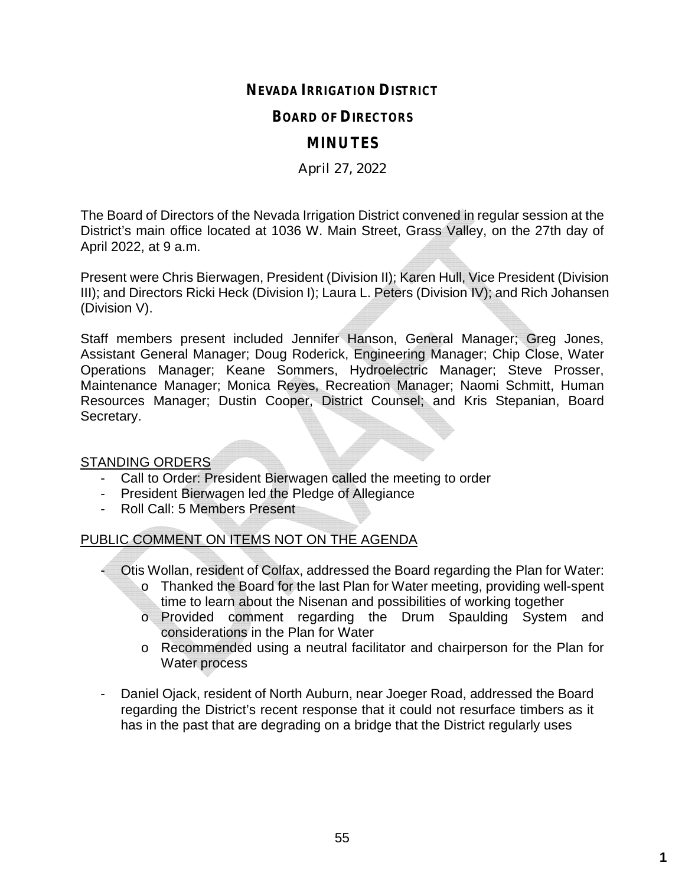# **NEVADA IRRIGATION DISTRICT**

### **BOARD OF DIRECTORS**

# **MINUTES**

## April 27, 2022

The Board of Directors of the Nevada Irrigation District convened in regular session at the District's main office located at 1036 W. Main Street, Grass Valley, on the 27th day of April 2022, at 9 a.m.

Present were Chris Bierwagen, President (Division II); Karen Hull, Vice President (Division III); and Directors Ricki Heck (Division I); Laura L. Peters (Division IV); and Rich Johansen (Division V).

Staff members present included Jennifer Hanson, General Manager; Greg Jones, Assistant General Manager; Doug Roderick, Engineering Manager; Chip Close, Water Operations Manager; Keane Sommers, Hydroelectric Manager; Steve Prosser, Maintenance Manager; Monica Reyes, Recreation Manager; Naomi Schmitt, Human Resources Manager; Dustin Cooper, District Counsel; and Kris Stepanian, Board Secretary.

STANDING ORDERS

- Call to Order: President Bierwagen called the meeting to order
- President Bierwagen led the Pledge of Allegiance
- Roll Call: 5 Members Present

# PUBLIC COMMENT ON ITEMS NOT ON THE AGENDA

- Otis Wollan, resident of Colfax, addressed the Board regarding the Plan for Water: o Thanked the Board for the last Plan for Water meeting, providing well-spent time to learn about the Nisenan and possibilities of working together
	- o Provided comment regarding the Drum Spaulding System and considerations in the Plan for Water
	- o Recommended using a neutral facilitator and chairperson for the Plan for Water process
- Daniel Ojack, resident of North Auburn, near Joeger Road, addressed the Board regarding the District's recent response that it could not resurface timbers as it has in the past that are degrading on a bridge that the District regularly uses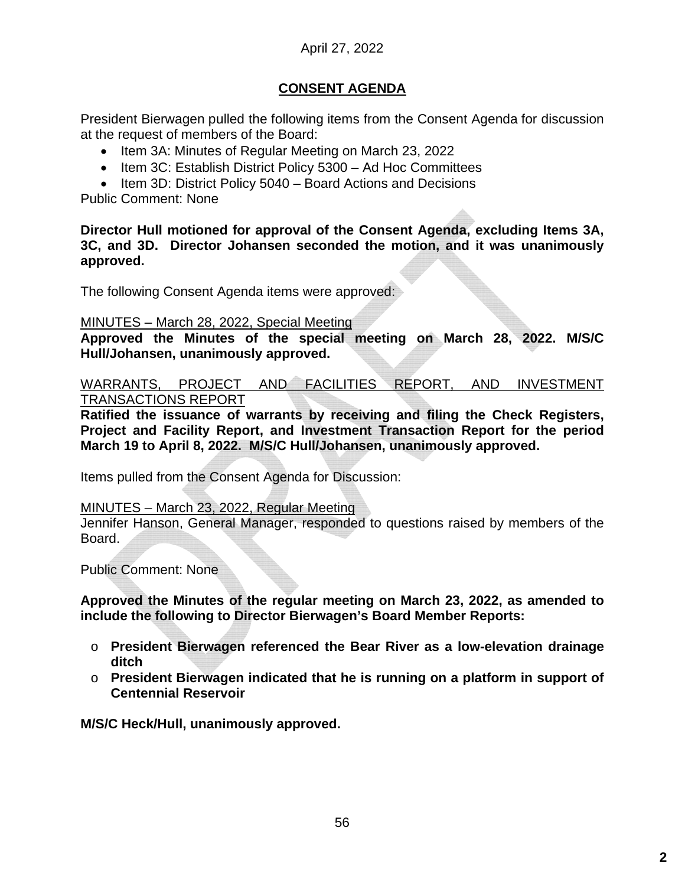# April 27, 2022

# **CONSENT AGENDA**

President Bierwagen pulled the following items from the Consent Agenda for discussion at the request of members of the Board:

- Item 3A: Minutes of Regular Meeting on March 23, 2022
- Item 3C: Establish District Policy 5300 Ad Hoc Committees
- $\bullet$  Item 3D: District Policy 5040 Board Actions and Decisions

Public Comment: None

**Director Hull motioned for approval of the Consent Agenda, excluding Items 3A, 3C, and 3D. Director Johansen seconded the motion, and it was unanimously approved.**

The following Consent Agenda items were approved:

#### MINUTES – March 28, 2022, Special Meeting

**Approved the Minutes of the special meeting on March 28, 2022. M/S/C Hull/Johansen, unanimously approved.**

WARRANTS, PROJECT AND FACILITIES REPORT, AND INVESTMENT TRANSACTIONS REPORT

**Ratified the issuance of warrants by receiving and filing the Check Registers, Project and Facility Report, and Investment Transaction Report for the period March 19 to April 8, 2022. M/S/C Hull/Johansen, unanimously approved.**

Items pulled from the Consent Agenda for Discussion:

### MINUTES – March 23, 2022, Regular Meeting

Jennifer Hanson, General Manager, responded to questions raised by members of the Board.

Public Comment: None

**Approved the Minutes of the regular meeting on March 23, 2022, as amended to include the following to Director Bierwagen's Board Member Reports:**

- o **President Bierwagen referenced the Bear River as a low-elevation drainage ditch**
- o **President Bierwagen indicated that he is running on a platform in support of Centennial Reservoir**

**M/S/C Heck/Hull, unanimously approved.**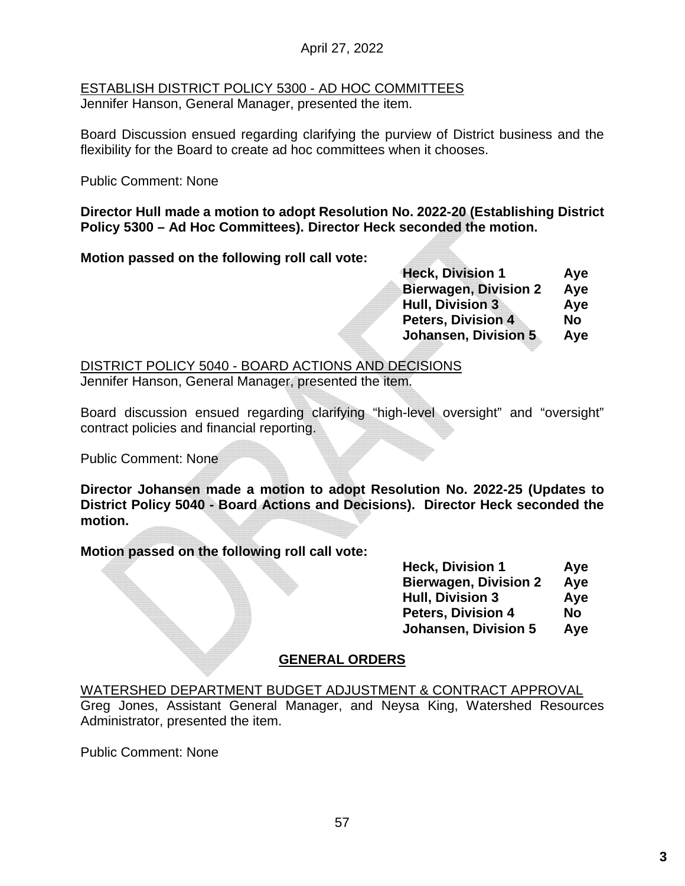## April 27, 2022

# ESTABLISH DISTRICT POLICY 5300 - AD HOC COMMITTEES

Jennifer Hanson, General Manager, presented the item.

Board Discussion ensued regarding clarifying the purview of District business and the flexibility for the Board to create ad hoc committees when it chooses.

Public Comment: None

**Director Hull made a motion to adopt Resolution No. 2022-20 (Establishing District Policy 5300 – Ad Hoc Committees). Director Heck seconded the motion.** 

**Motion passed on the following roll call vote:**

| <b>Heck, Division 1</b>      | Aye       |
|------------------------------|-----------|
| <b>Bierwagen, Division 2</b> | Aye       |
| <b>Hull, Division 3</b>      | Aye       |
| <b>Peters, Division 4</b>    | <b>No</b> |
| <b>Johansen, Division 5</b>  | Aye       |
|                              |           |

DISTRICT POLICY 5040 - BOARD ACTIONS AND DECISIONS

Jennifer Hanson, General Manager, presented the item.

Board discussion ensued regarding clarifying "high-level oversight" and "oversight" contract policies and financial reporting.

Public Comment: None

**Director Johansen made a motion to adopt Resolution No. 2022-25 (Updates to District Policy 5040 - Board Actions and Decisions). Director Heck seconded the motion.**

**Motion passed on the following roll call vote:**

| <b>Heck, Division 1</b>      | Aye |
|------------------------------|-----|
| <b>Bierwagen, Division 2</b> | Aye |
| <b>Hull, Division 3</b>      | Aye |
| <b>Peters, Division 4</b>    | No  |
| <b>Johansen, Division 5</b>  | Aye |

# **GENERAL ORDERS**

WATERSHED DEPARTMENT BUDGET ADJUSTMENT & CONTRACT APPROVAL Greg Jones, Assistant General Manager, and Neysa King, Watershed Resources Administrator, presented the item.

Public Comment: None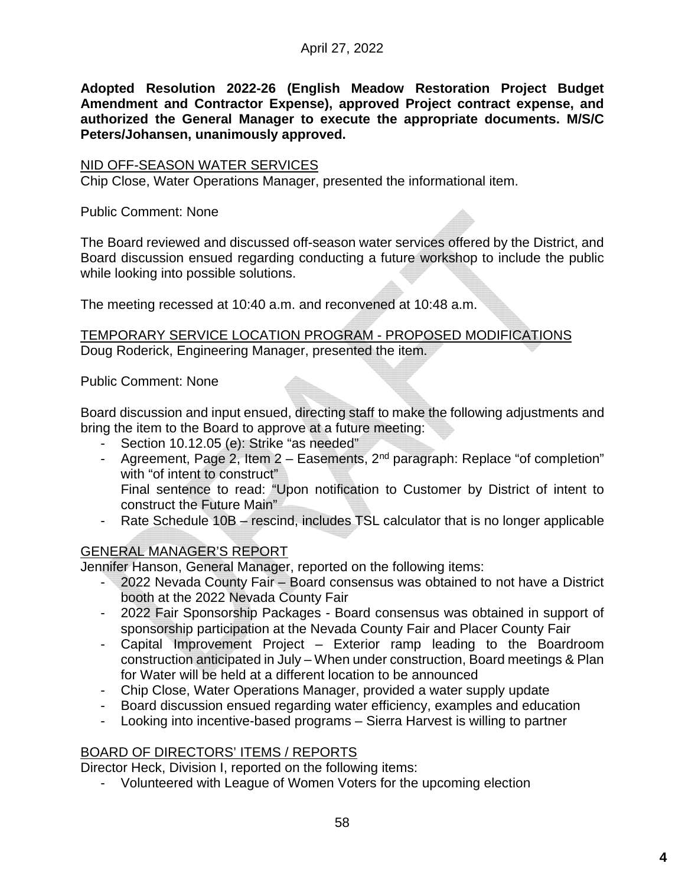**Adopted Resolution 2022-26 (English Meadow Restoration Project Budget Amendment and Contractor Expense), approved Project contract expense, and authorized the General Manager to execute the appropriate documents. M/S/C Peters/Johansen, unanimously approved.**

### NID OFF-SEASON WATER SERVICES

Chip Close, Water Operations Manager, presented the informational item.

Public Comment: None

The Board reviewed and discussed off-season water services offered by the District, and Board discussion ensued regarding conducting a future workshop to include the public while looking into possible solutions.

The meeting recessed at 10:40 a.m. and reconvened at 10:48 a.m.

TEMPORARY SERVICE LOCATION PROGRAM - PROPOSED MODIFICATIONS Doug Roderick, Engineering Manager, presented the item.

Public Comment: None

Board discussion and input ensued, directing staff to make the following adjustments and bring the item to the Board to approve at a future meeting:

- Section 10.12.05 (e): Strike "as needed"
- Agreement, Page 2, Item  $2 -$  Easements,  $2<sup>nd</sup>$  paragraph: Replace "of completion" with "of intent to construct" Final sentence to read: "Upon notification to Customer by District of intent to
- construct the Future Main"
- Rate Schedule 10B rescind, includes TSL calculator that is no longer applicable

# GENERAL MANAGER'S REPORT

Jennifer Hanson, General Manager, reported on the following items:

- 2022 Nevada County Fair Board consensus was obtained to not have a District booth at the 2022 Nevada County Fair
- 2022 Fair Sponsorship Packages Board consensus was obtained in support of sponsorship participation at the Nevada County Fair and Placer County Fair
- Capital Improvement Project Exterior ramp leading to the Boardroom construction anticipated in July – When under construction, Board meetings & Plan for Water will be held at a different location to be announced
- Chip Close, Water Operations Manager, provided a water supply update
- Board discussion ensued regarding water efficiency, examples and education
- Looking into incentive-based programs Sierra Harvest is willing to partner

# BOARD OF DIRECTORS' ITEMS / REPORTS

Director Heck, Division I, reported on the following items:

- Volunteered with League of Women Voters for the upcoming election